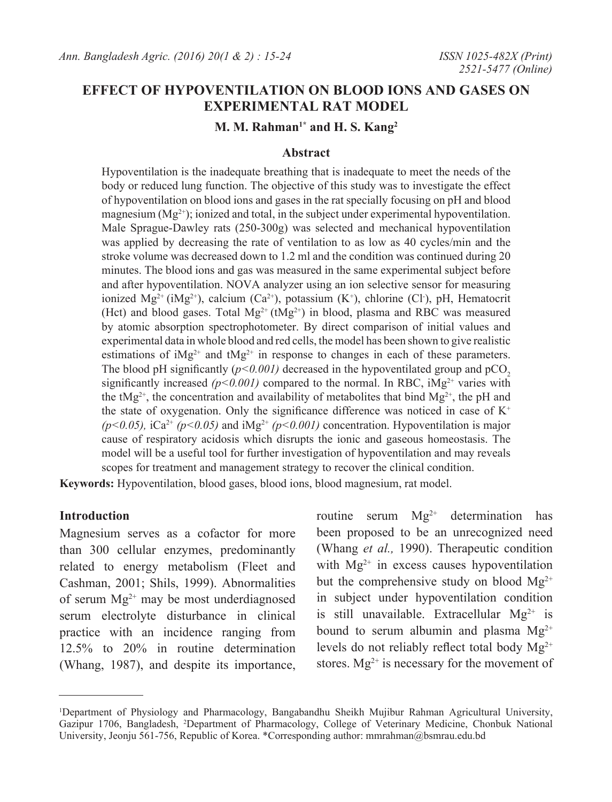# **EFFECT OF HYPOVENTILATION ON BLOOD IONS AND GASES ON EXPERIMENTAL RAT MODEL**

# **M. M. Rahman1\* and H. S. Kang2**

## **Abstract**

Hypoventilation is the inadequate breathing that is inadequate to meet the needs of the body or reduced lung function. The objective of this study was to investigate the effect of hypoventilation on blood ions and gases in the rat specially focusing on pH and blood magnesium  $(Mg<sup>2+</sup>)$ ; ionized and total, in the subject under experimental hypoventilation. Male Sprague-Dawley rats (250-300g) was selected and mechanical hypoventilation was applied by decreasing the rate of ventilation to as low as 40 cycles/min and the stroke volume was decreased down to 1.2 ml and the condition was continued during 20 minutes. The blood ions and gas was measured in the same experimental subject before and after hypoventilation. NOVA analyzer using an ion selective sensor for measuring ionized  $Mg^{2+}$  (i $Mg^{2+}$ ), calcium (Ca<sup>2+</sup>), potassium (K<sup>+</sup>), chlorine (Cl<sup>-</sup>), pH, Hematocrit (Hct) and blood gases. Total  $Mg^{2+}$  (t $Mg^{2+}$ ) in blood, plasma and RBC was measured by atomic absorption spectrophotometer. By direct comparison of initial values and experimental data in whole blood and red cells, the model has been shown to give realistic estimations of  $iMg^{2+}$  and  $tMg^{2+}$  in response to changes in each of these parameters. The blood pH significantly  $(p<0.001)$  decreased in the hypoventilated group and pCO<sub>2</sub> significantly increased  $(p<0.001)$  compared to the normal. In RBC,  $iMg^{2+}$  varies with the tMg<sup>2+</sup>, the concentration and availability of metabolites that bind Mg<sup>2+</sup>, the pH and the state of oxygenation. Only the significance difference was noticed in case of  $K^+$  $(p<0.05)$ , iCa<sup>2+</sup>  $(p<0.05)$  and iMg<sup>2+</sup>  $(p<0.001)$  concentration. Hypoventilation is major cause of respiratory acidosis which disrupts the ionic and gaseous homeostasis. The model will be a useful tool for further investigation of hypoventilation and may reveals scopes for treatment and management strategy to recover the clinical condition.

**Keywords:** Hypoventilation, blood gases, blood ions, blood magnesium, rat model.

#### **Introduction**

Magnesium serves as a cofactor for more than 300 cellular enzymes, predominantly related to energy metabolism (Fleet and Cashman, 2001; Shils, 1999). Abnormalities of serum  $Mg^{2+}$  may be most underdiagnosed serum electrolyte disturbance in clinical practice with an incidence ranging from 12.5% to 20% in routine determination (Whang, 1987), and despite its importance,

routine serum  $Mg^{2+}$  determination has been proposed to be an unrecognized need (Whang *et al.,* 1990). Therapeutic condition with  $Mg^{2+}$  in excess causes hypoventilation but the comprehensive study on blood  $Mg^{2+}$ in subject under hypoventilation condition is still unavailable. Extracellular  $Mg^{2+}$  is bound to serum albumin and plasma  $Mg^{2+}$ levels do not reliably reflect total body  $Mg^{2+}$ stores.  $Mg^{2+}$  is necessary for the movement of

<sup>1</sup> Department of Physiology and Pharmacology, Bangabandhu Sheikh Mujibur Rahman Agricultural University, Gazipur 1706, Bangladesh, 2 Department of Pharmacology, College of Veterinary Medicine, Chonbuk National University, Jeonju 561-756, Republic of Korea. \*Corresponding author: mmrahman@bsmrau.edu.bd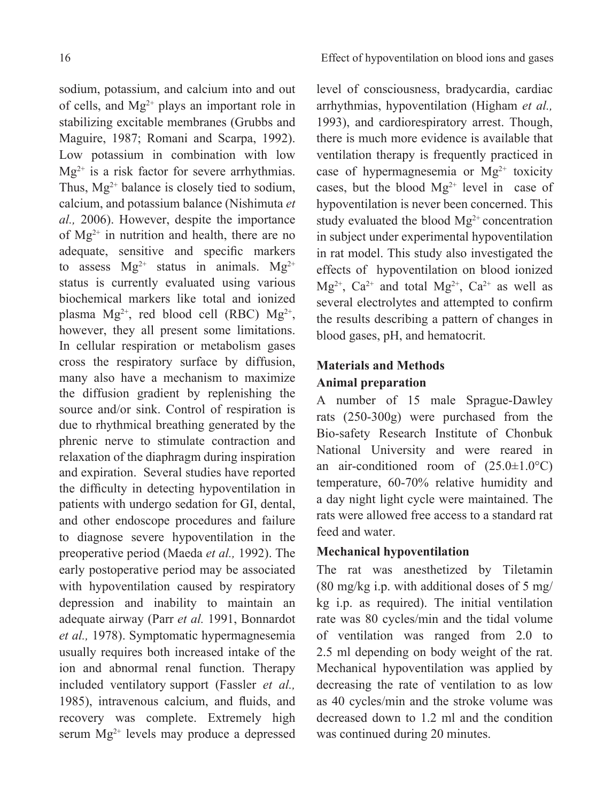sodium, potassium, and calcium into and out of cells, and  $Mg^{2+}$  plays an important role in stabilizing excitable membranes (Grubbs and Maguire, 1987; Romani and Scarpa, 1992). Low potassium in combination with low  $Mg^{2+}$  is a risk factor for severe arrhythmias. Thus,  $Mg^{2+}$  balance is closely tied to sodium. calcium, and potassium balance (Nishimuta *et al.,* 2006). However, despite the importance of Mg2+ in nutrition and health, there are no adequate, sensitive and specific markers to assess  $Mg^{2+}$  status in animals.  $Mg^{2+}$ status is currently evaluated using various biochemical markers like total and ionized plasma  $Mg^{2+}$ , red blood cell (RBC)  $Mg^{2+}$ , however, they all present some limitations. In cellular respiration or metabolism gases cross the respiratory surface by diffusion, many also have a mechanism to maximize the diffusion gradient by replenishing the source and/or sink. Control of respiration is due to rhythmical breathing generated by the phrenic nerve to stimulate contraction and relaxation of the diaphragm during inspiration and expiration. Several studies have reported the difficulty in detecting hypoventilation in patients with undergo sedation for GI, dental, and other endoscope procedures and failure to diagnose severe hypoventilation in the preoperative period (Maeda *et al.,* 1992). The early postoperative period may be associated with hypoventilation caused by respiratory depression and inability to maintain an adequate airway (Parr *et al.* 1991, Bonnardot *et al.,* 1978). Symptomatic hypermagnesemia usually requires both increased intake of the ion and abnormal renal function. Therapy included ventilatory support (Fassler *et al.,* 1985), intravenous calcium, and fluids, and recovery was complete. Extremely high serum  $Mg^{2+}$  levels may produce a depressed

level of consciousness, bradycardia, cardiac arrhythmias, hypoventilation (Higham *et al.,* 1993), and cardiorespiratory arrest. Though, there is much more evidence is available that ventilation therapy is frequently practiced in case of hypermagnesemia or  $Mg^{2+}$  toxicity cases, but the blood  $Mg^{2+}$  level in case of hypoventilation is never been concerned. This study evaluated the blood  $Mg^{2+}$  concentration in subject under experimental hypoventilation in rat model. This study also investigated the effects of hypoventilation on blood ionized  $Mg^{2+}$ , Ca<sup>2+</sup> and total  $Mg^{2+}$ , Ca<sup>2+</sup> as well as several electrolytes and attempted to confirm the results describing a pattern of changes in blood gases, pH, and hematocrit.

# **Materials and Methods Animal preparation**

A number of 15 male Sprague-Dawley rats (250-300g) were purchased from the Bio-safety Research Institute of Chonbuk National University and were reared in an air-conditioned room of  $(25.0 \pm 1.0^{\circ}\text{C})$ temperature, 60-70% relative humidity and a day night light cycle were maintained. The rats were allowed free access to a standard rat feed and water.

# **Mechanical hypoventilation**

The rat was anesthetized by Tiletamin (80 mg/kg i.p. with additional doses of 5 mg/ kg i.p. as required). The initial ventilation rate was 80 cycles/min and the tidal volume of ventilation was ranged from 2.0 to 2.5 ml depending on body weight of the rat. Mechanical hypoventilation was applied by decreasing the rate of ventilation to as low as 40 cycles/min and the stroke volume was decreased down to 1.2 ml and the condition was continued during 20 minutes.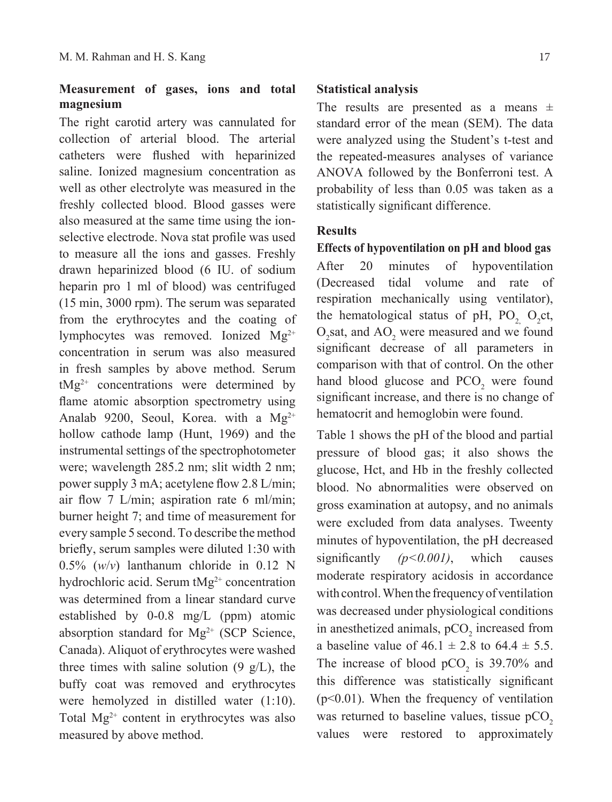# **Measurement of gases, ions and total magnesium**

The right carotid artery was cannulated for collection of arterial blood. The arterial catheters were flushed with heparinized saline. Ionized magnesium concentration as well as other electrolyte was measured in the freshly collected blood. Blood gasses were also measured at the same time using the ionselective electrode. Nova stat profile was used to measure all the ions and gasses. Freshly drawn heparinized blood (6 IU. of sodium heparin pro 1 ml of blood) was centrifuged (15 min, 3000 rpm). The serum was separated from the erythrocytes and the coating of lymphocytes was removed. Ionized Mg<sup>2+</sup> concentration in serum was also measured in fresh samples by above method. Serum  $tMg^{2+}$  concentrations were determined by flame atomic absorption spectrometry using Analab 9200, Seoul, Korea. with a  $Mg^{2+}$ hollow cathode lamp (Hunt, 1969) and the instrumental settings of the spectrophotometer were; wavelength 285.2 nm; slit width 2 nm; power supply 3 mA; acetylene flow 2.8 L/min; air flow 7 L/min; aspiration rate 6 ml/min; burner height 7; and time of measurement for every sample 5 second. To describe the method briefly, serum samples were diluted 1:30 with 0.5% (*w*/*v*) lanthanum chloride in 0.12 N hydrochloric acid. Serum tMg<sup>2+</sup> concentration was determined from a linear standard curve established by 0-0.8 mg/L (ppm) atomic absorption standard for  $Mg^{2+}$  (SCP Science, Canada). Aliquot of erythrocytes were washed three times with saline solution  $(9 \text{ g/L})$ , the buffy coat was removed and erythrocytes were hemolyzed in distilled water (1:10). Total  $Mg^{2+}$  content in erythrocytes was also measured by above method.

#### **Statistical analysis**

The results are presented as a means  $\pm$ standard error of the mean (SEM). The data were analyzed using the Student's t-test and the repeated-measures analyses of variance ANOVA followed by the Bonferroni test. A probability of less than 0.05 was taken as a statistically significant difference.

## **Results**

**Effects of hypoventilation on pH and blood gas** After 20 minutes of hypoventilation (Decreased tidal volume and rate of respiration mechanically using ventilator), the hematological status of pH,  $PO_2$ ,  $O_2$ ct,  $O_2$ sat, and  $AO_2$  were measured and we found significant decrease of all parameters in comparison with that of control. On the other hand blood glucose and  $PCO<sub>2</sub>$  were found significant increase, and there is no change of hematocrit and hemoglobin were found.

Table 1 shows the pH of the blood and partial pressure of blood gas; it also shows the glucose, Hct, and Hb in the freshly collected blood. No abnormalities were observed on gross examination at autopsy, and no animals were excluded from data analyses. Tweenty minutes of hypoventilation, the pH decreased significantly *(p<0.001)*, which causes moderate respiratory acidosis in accordance with control. When the frequency of ventilation was decreased under physiological conditions in anesthetized animals,  $pCO<sub>2</sub>$  increased from a baseline value of  $46.1 \pm 2.8$  to  $64.4 \pm 5.5$ . The increase of blood  $pCO<sub>2</sub>$  is 39.70% and this difference was statistically significant  $(p<0.01)$ . When the frequency of ventilation was returned to baseline values, tissue  $pCO<sub>2</sub>$ values were restored to approximately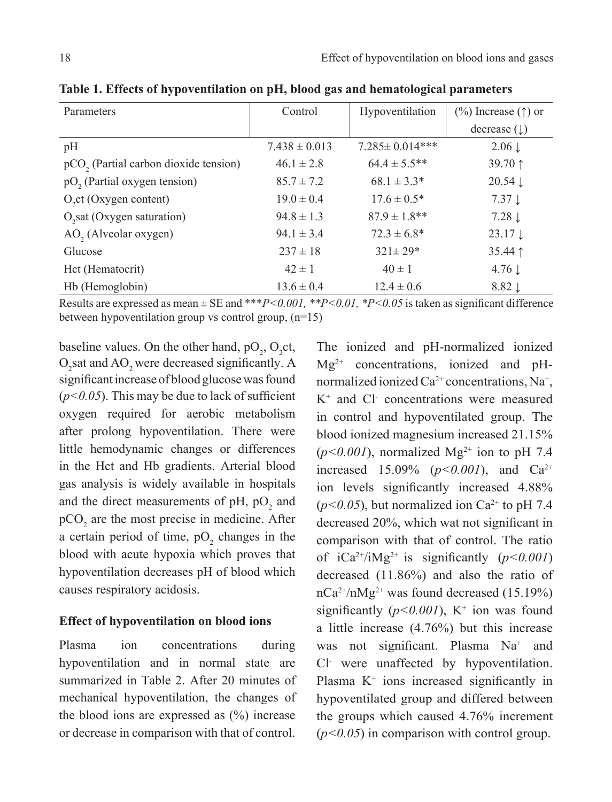| Parameters                                        | Control           | Hypoventilation       | $(\%)$ Increase ( $\uparrow$ ) or |
|---------------------------------------------------|-------------------|-----------------------|-----------------------------------|
|                                                   |                   |                       | decrease $(\downarrow)$           |
| pH                                                | $7.438 \pm 0.013$ | $7.285 \pm 0.014$ *** | $2.06 \downarrow$                 |
| pCO <sub>2</sub> (Partial carbon dioxide tension) | $46.1 \pm 2.8$    | $64.4 \pm 5.5$ **     | 39.70 ↑                           |
| pO <sub>2</sub> (Partial oxygen tension)          | $85.7 \pm 7.2$    | $68.1 \pm 3.3^*$      | $20.54 \downarrow$                |
| O <sub>2</sub> ct (Oxygen content)                | $19.0 \pm 0.4$    | $17.6 \pm 0.5^*$      | $7.37 \downarrow$                 |
| O <sub>2</sub> sat (Oxygen saturation)            | $94.8 \pm 1.3$    | $87.9 \pm 1.8$ **     | $7.28 \downarrow$                 |
| AO <sub>2</sub> (Alveolar oxygen)                 | $94.1 \pm 3.4$    | $72.3 \pm 6.8^*$      | $23.17 \downarrow$                |
| Glucose                                           | $237 \pm 18$      | $321 \pm 29*$         | $35.44$ ↑                         |
| Hct (Hematocrit)                                  | $42 \pm 1$        | $40 \pm 1$            | $4.76 \downarrow$                 |
| Hb (Hemoglobin)                                   | $13.6 \pm 0.4$    | $12.4 \pm 0.6$        | $8.82 \downarrow$                 |

**Table 1. Effects of hypoventilation on pH, blood gas and hematological parameters**

Results are expressed as mean  $\pm$  SE and \*\**\*P*<0.001, \**P*<0.01, \**P*<0.05 is taken as significant difference between hypoventilation group vs control group, (n=15)

baseline values. On the other hand,  $pO_2$ ,  $O_2$ ct,  $O_2$ sat and  $AO_2$  were decreased significantly. A significant increase of blood glucose was found  $(p<0.05)$ . This may be due to lack of sufficient oxygen required for aerobic metabolism after prolong hypoventilation. There were little hemodynamic changes or differences in the Hct and Hb gradients. Arterial blood gas analysis is widely available in hospitals and the direct measurements of pH,  $pO_2$  and  $pCO<sub>2</sub>$  are the most precise in medicine. After a certain period of time,  $pO_2$  changes in the blood with acute hypoxia which proves that hypoventilation decreases pH of blood which causes respiratory acidosis.

#### **Effect of hypoventilation on blood ions**

Plasma ion concentrations during hypoventilation and in normal state are summarized in Table 2. After 20 minutes of mechanical hypoventilation, the changes of the blood ions are expressed as  $(\%)$  increase or decrease in comparison with that of control.

The ionized and pH-normalized ionized  $Mg^{2+}$  concentrations, ionized and pHnormalized ionized  $Ca^{2+}$  concentrations, Na<sup>+</sup>, K+ and Cl- concentrations were measured in control and hypoventilated group. The blood ionized magnesium increased 21.15%  $(p<0.001)$ , normalized Mg<sup>2+</sup> ion to pH 7.4 increased 15.09% ( $p < 0.001$ ), and Ca<sup>2+</sup> ion levels significantly increased 4.88%  $(p<0.05)$ , but normalized ion Ca<sup>2+</sup> to pH 7.4 decreased 20%, which wat not significant in comparison with that of control. The ratio of  $iCa^{2+}/iMg^{2+}$  is significantly  $(p<0.001)$ decreased (11.86%) and also the ratio of  $nCa^{2+}/nMg^{2+}$  was found decreased (15.19%) significantly  $(p<0.001)$ , K<sup>+</sup> ion was found a little increase (4.76%) but this increase was not significant. Plasma Na<sup>+</sup> and Cl- were unaffected by hypoventilation. Plasma  $K^+$  ions increased significantly in hypoventilated group and differed between the groups which caused 4.76% increment (*p<0.05*) in comparison with control group.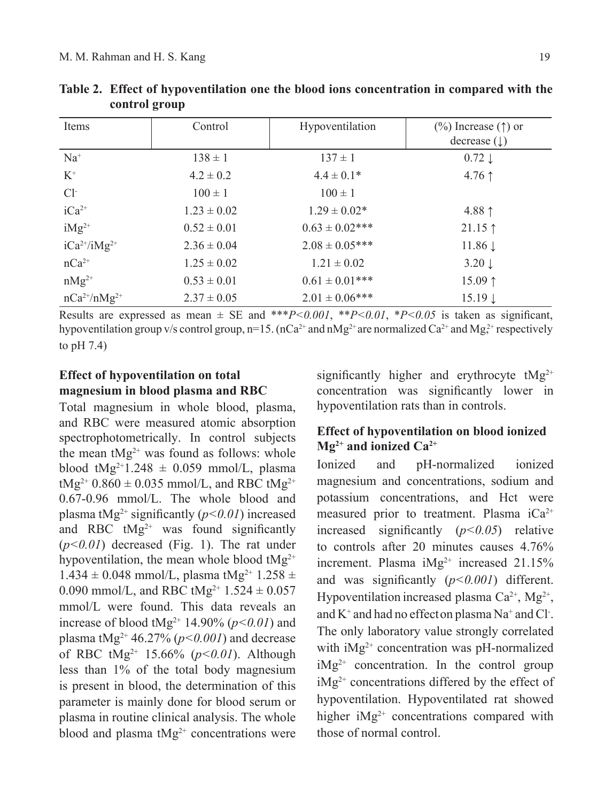| Items               | Control         | Hypoventilation     | $(\%)$ Increase ( $\uparrow$ ) or<br>decrease $(\downarrow)$ |
|---------------------|-----------------|---------------------|--------------------------------------------------------------|
| $Na+$               | $138 \pm 1$     | $137 \pm 1$         | $0.72 \downarrow$                                            |
| $K^+$               | $4.2 \pm 0.2$   | $4.4 \pm 0.1*$      | $4.76$ ↑                                                     |
| $Cl-$               | $100 \pm 1$     | $100 \pm 1$         |                                                              |
| $iCa^{2+}$          | $1.23 \pm 0.02$ | $1.29 \pm 0.02*$    | 4.88 $\uparrow$                                              |
| $iMg^{2+}$          | $0.52 \pm 0.01$ | $0.63 \pm 0.02$ *** | $21.15$ ↑                                                    |
| $iCa^{2+}/iMg^{2+}$ | $2.36 \pm 0.04$ | $2.08 \pm 0.05***$  | $11.86 \downarrow$                                           |
| $nCa^{2+}$          | $1.25 \pm 0.02$ | $1.21 \pm 0.02$     | $3.20 \downarrow$                                            |
| $nMg^{2+}$          | $0.53 \pm 0.01$ | $0.61 \pm 0.01$ *** | 15.09 $\uparrow$                                             |
| $nCa^{2+}/nMg^{2+}$ | $2.37 \pm 0.05$ | $2.01 \pm 0.06$ *** | $15.19 \downarrow$                                           |

**Table 2. Effect of hypoventilation one the blood ions concentration in compared with the control group**

Results are expressed as mean  $\pm$  SE and \*\*\**P*<0.001, \**P*<0.01, \**P*<0.05 is taken as significant, hypoventilation group v/s control group,  $n=15$ . ( $nCa^{2+}$  and  $nMg^{2+}$  are normalized  $Ca^{2+}$  and  $Mg^{2+}$  respectively to pH 7.4)

# **Effect of hypoventilation on total magnesium in blood plasma and RBC**

Total magnesium in whole blood, plasma, and RBC were measured atomic absorption spectrophotometrically. In control subjects the mean  $tMg^{2+}$  was found as follows: whole blood tMg<sup>2+1</sup>.248  $\pm$  0.059 mmol/L, plasma tMg<sup>2+</sup> 0.860  $\pm$  0.035 mmol/L, and RBC tMg<sup>2+</sup> 0.67-0.96 mmol/L. The whole blood and plasma tMg<sup>2+</sup> significantly  $(p<0.01)$  increased and RBC  $tMg^{2+}$  was found significantly (*p<0.01*) decreased (Fig. 1). The rat under hypoventilation, the mean whole blood  $tMg^{2+}$  $1.434 \pm 0.048$  mmol/L, plasma tMg<sup>2+</sup>  $1.258 \pm$ 0.090 mmol/L, and RBC tMg<sup>2+</sup> 1.524  $\pm$  0.057 mmol/L were found. This data reveals an increase of blood tMg<sup>2+</sup> 14.90% ( $p$ <0.01) and plasma tMg<sup>2+</sup> 46.27% ( $p < 0.001$ ) and decrease of RBC tMg2+ 15.66% (*p<0.01*). Although less than 1% of the total body magnesium is present in blood, the determination of this parameter is mainly done for blood serum or plasma in routine clinical analysis. The whole blood and plasma  $tMg^{2+}$  concentrations were

significantly higher and erythrocyte  $tMg^{2+}$ concentration was significantly lower in hypoventilation rats than in controls.

# **Effect of hypoventilation on blood ionized Mg2+ and ionized Ca2+**

Ionized and pH-normalized ionized magnesium and concentrations, sodium and potassium concentrations, and Hct were measured prior to treatment. Plasma  $iCa^{2+}$ increased significantly (*p<0.05*) relative to controls after 20 minutes causes 4.76% increment. Plasma  $iMg^{2+}$  increased 21.15% and was significantly (*p<0.001*) different. Hypoventilation increased plasma  $Ca^{2+}$ ,  $Mg^{2+}$ , and  $K^+$  and had no effect on plasma Na<sup>+</sup> and Cl<sup>-</sup>. The only laboratory value strongly correlated with iMg<sup>2+</sup> concentration was pH-normalized  $iMg^{2+}$  concentration. In the control group  $iMg^{2+}$  concentrations differed by the effect of hypoventilation. Hypoventilated rat showed higher  $iMg^{2+}$  concentrations compared with those of normal control.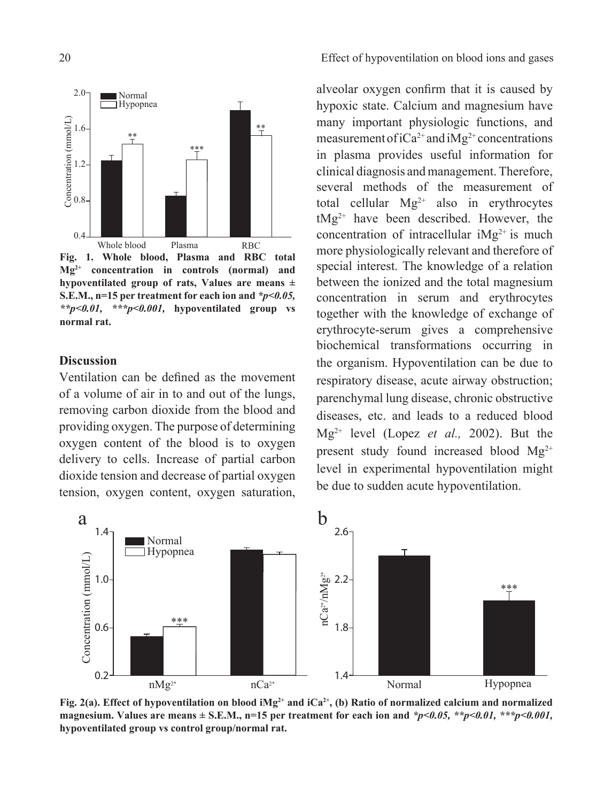

**Fig. 1. Whole blood, Plasma and RBC total Mg2+ concentration in controls (normal) and hypoventilated group of rats, Values are means ± S.E.M., n=15 per treatment for each ion and** *\*p<0.05, \*\*p<0.01, \*\*\*p<0.001,* **hypoventilated group vs normal rat.**

## **Discussion**

Ventilation can be defined as the movement of a volume of air in to and out of the lungs, removing carbon dioxide from the blood and providing oxygen. The purpose of determining oxygen content of the blood is to oxygen delivery to cells. Increase of partial carbon dioxide tension and decrease of partial oxygen tension, oxygen content, oxygen saturation,

alveolar oxygen confirm that it is caused by hypoxic state. Calcium and magnesium have many important physiologic functions, and measurement of  $iCa^{2+}$  and  $iMg^{2+}$  concentrations in plasma provides useful information for clinical diagnosis and management. Therefore, several methods of the measurement of total cellular  $Mg^{2+}$  also in erythrocytes  $tMg^{2+}$  have been described. However, the concentration of intracellular  $iMg^{2+}$  is much more physiologically relevant and therefore of special interest. The knowledge of a relation between the ionized and the total magnesium concentration in serum and erythrocytes together with the knowledge of exchange of erythrocyte-serum gives a comprehensive biochemical transformations occurring in the organism. Hypoventilation can be due to respiratory disease, acute airway obstruction; parenchymal lung disease, chronic obstructive diseases, etc. and leads to a reduced blood Mg2+ level (Lopez *et al.,* 2002). But the present study found increased blood  $Mg^{2+}$ level in experimental hypoventilation might be due to sudden acute hypoventilation.



Fig. 2(a). Effect of hypoventilation on blood iMg<sup>2+</sup> and iCa<sup>2+</sup>, (b) Ratio of normalized calcium and normalized **magnesium. Values are means ± S.E.M., n=15 per treatment for each ion and** *\*p<0.05, \*\*p<0.01, \*\*\*p<0.001,*  **hypoventilated group vs control group/normal rat.**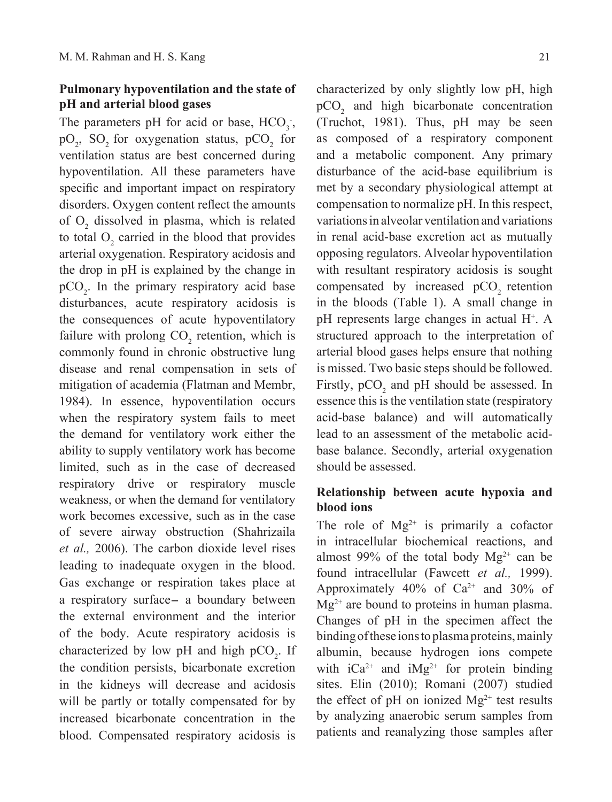# **Pulmonary hypoventilation and the state of pH and arterial blood gases**

The parameters pH for acid or base,  $HCO<sub>3</sub>$ ;  $pO_2$ ,  $SO_2$  for oxygenation status,  $pCO_2$  for ventilation status are best concerned during hypoventilation. All these parameters have specific and important impact on respiratory disorders. Oxygen content reflect the amounts of  $O_2$  dissolved in plasma, which is related to total  $O_2$  carried in the blood that provides arterial oxygenation. Respiratory acidosis and the drop in pH is explained by the change in  $pCO<sub>2</sub>$ . In the primary respiratory acid base disturbances, acute respiratory acidosis is the consequences of acute hypoventilatory failure with prolong  $CO_2$  retention, which is commonly found in chronic obstructive lung disease and renal compensation in sets of mitigation of academia (Flatman and Membr, 1984). In essence, hypoventilation occurs when the respiratory system fails to meet the demand for ventilatory work either the ability to supply ventilatory work has become limited, such as in the case of decreased respiratory drive or respiratory muscle weakness, or when the demand for ventilatory work becomes excessive, such as in the case of severe airway obstruction (Shahrizaila *et al.,* 2006). The carbon dioxide level rises leading to inadequate oxygen in the blood. Gas exchange or respiration takes place at a respiratory surface- a boundary between the external environment and the interior of the body. Acute respiratory acidosis is characterized by low pH and high  $pCO<sub>2</sub>$ . If the condition persists, bicarbonate excretion in the kidneys will decrease and acidosis will be partly or totally compensated for by increased bicarbonate concentration in the blood. Compensated respiratory acidosis is

characterized by only slightly low pH, high  $pCO<sub>2</sub>$  and high bicarbonate concentration (Truchot, 1981). Thus, pH may be seen as composed of a respiratory component and a metabolic component. Any primary disturbance of the acid-base equilibrium is met by a secondary physiological attempt at compensation to normalize pH. In this respect, variations in alveolar ventilation and variations in renal acid-base excretion act as mutually opposing regulators. Alveolar hypoventilation with resultant respiratory acidosis is sought compensated by increased  $pCO<sub>2</sub>$  retention in the bloods (Table 1). A small change in pH represents large changes in actual H<sup>+</sup>. A structured approach to the interpretation of arterial blood gases helps ensure that nothing is missed. Two basic steps should be followed. Firstly,  $pCO_2$  and pH should be assessed. In essence this is the ventilation state (respiratory acid-base balance) and will automatically lead to an assessment of the metabolic acidbase balance. Secondly, arterial oxygenation should be assessed.

# **Relationship between acute hypoxia and blood ions**

The role of  $Mg^{2+}$  is primarily a cofactor in intracellular biochemical reactions, and almost 99% of the total body  $Mg^{2+}$  can be found intracellular (Fawcett *et al.,* 1999). Approximately  $40\%$  of Ca<sup>2+</sup> and 30% of  $Mg^{2+}$  are bound to proteins in human plasma. Changes of pH in the specimen affect the binding of these ions to plasma proteins, mainly albumin, because hydrogen ions compete with  $iCa^{2+}$  and  $iMg^{2+}$  for protein binding sites. Elin (2010); Romani (2007) studied the effect of pH on ionized  $Mg^{2+}$  test results by analyzing anaerobic serum samples from patients and reanalyzing those samples after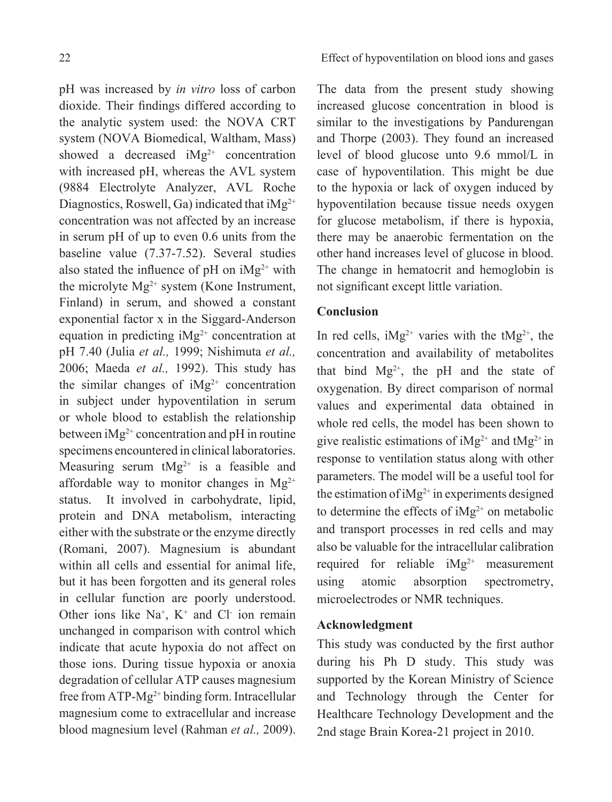pH was increased by *in vitro* loss of carbon dioxide. Their findings differed according to the analytic system used: the NOVA CRT system (NOVA Biomedical, Waltham, Mass) showed a decreased  $iMg^{2+}$  concentration with increased pH, whereas the AVL system (9884 Electrolyte Analyzer, AVL Roche Diagnostics, Roswell, Ga) indicated that  $iMg^{2+}$ concentration was not affected by an increase in serum pH of up to even 0.6 units from the baseline value (7.37-7.52). Several studies also stated the influence of pH on  $iMg^{2+}$  with the microlyte  $Mg^{2+}$  system (Kone Instrument, Finland) in serum, and showed a constant exponential factor x in the Siggard-Anderson equation in predicting  $iMg^{2+}$  concentration at pH 7.40 (Julia *et al.,* 1999; Nishimuta *et al.,* 2006; Maeda *et al.,* 1992). This study has the similar changes of  $iMg^{2+}$  concentration in subject under hypoventilation in serum or whole blood to establish the relationship between  $iMg^{2+}$  concentration and pH in routine specimens encountered in clinical laboratories. Measuring serum  $tMg^{2+}$  is a feasible and affordable way to monitor changes in  $Mg^{2+}$ status. It involved in carbohydrate, lipid, protein and DNA metabolism, interacting either with the substrate or the enzyme directly (Romani, 2007). Magnesium is abundant within all cells and essential for animal life, but it has been forgotten and its general roles in cellular function are poorly understood. Other ions like  $Na^+$ ,  $K^+$  and Cl ion remain unchanged in comparison with control which indicate that acute hypoxia do not affect on those ions. During tissue hypoxia or anoxia

degradation of cellular ATP causes magnesium free from  $ATP-Mg^{2+}$  binding form. Intracellular magnesium come to extracellular and increase blood magnesium level (Rahman *et al.,* 2009). This study was conducted by the first author

The data from the present study showing increased glucose concentration in blood is similar to the investigations by Pandurengan and Thorpe (2003). They found an increased level of blood glucose unto 9.6 mmol/L in case of hypoventilation. This might be due to the hypoxia or lack of oxygen induced by hypoventilation because tissue needs oxygen for glucose metabolism, if there is hypoxia, there may be anaerobic fermentation on the other hand increases level of glucose in blood. The change in hematocrit and hemoglobin is not significant except little variation.

## **Conclusion**

In red cells,  $iMg^{2+}$  varies with the  $tMg^{2+}$ , the concentration and availability of metabolites that bind  $Mg^{2+}$ , the pH and the state of oxygenation. By direct comparison of normal values and experimental data obtained in whole red cells, the model has been shown to give realistic estimations of  $iMg^{2+}$  and  $tMg^{2+}$  in response to ventilation status along with other parameters. The model will be a useful tool for the estimation of  $iMg^{2+}$  in experiments designed to determine the effects of  $iMg^{2+}$  on metabolic and transport processes in red cells and may also be valuable for the intracellular calibration required for reliable  $iMg^{2+}$  measurement using atomic absorption spectrometry, microelectrodes or NMR techniques.

# **Acknowledgment**

during his Ph D study. This study was supported by the Korean Ministry of Science and Technology through the Center for Healthcare Technology Development and the 2nd stage Brain Korea-21 project in 2010.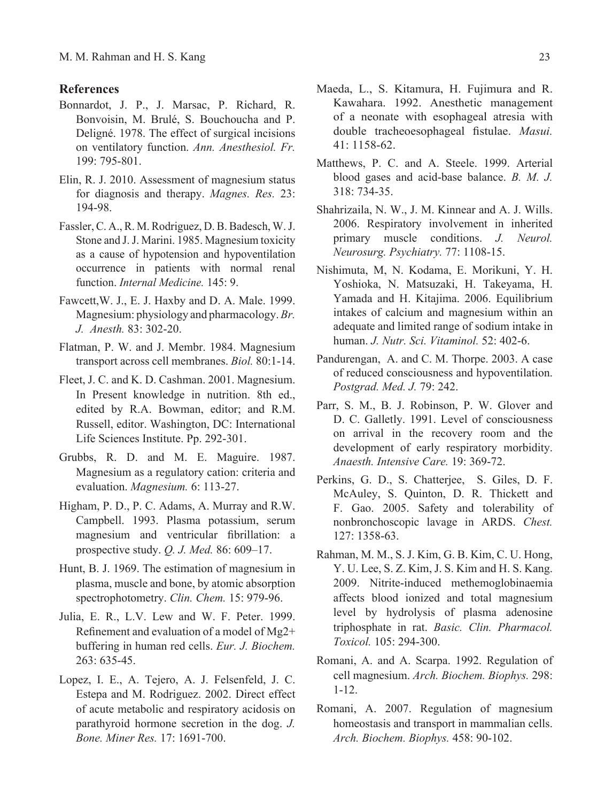#### **References**

- Bonnardot, J. P., J. Marsac, P. Richard, R. Bonvoisin, M. Brulé, S. Bouchoucha and P. Deligné. 1978. The effect of surgical incisions on ventilatory function. *Ann. Anesthesiol. Fr.* 199: 795-801.
- Elin, R. J. 2010. Assessment of magnesium status for diagnosis and therapy. *Magnes. Res.* 23: 194-98.
- Fassler, C. A., R. M. Rodriguez, D. B. Badesch, W. J. Stone and J. J. Marini. 1985. Magnesium toxicity as a cause of hypotension and hypoventilation occurrence in patients with normal renal function. *Internal Medicine.* 145: 9.
- Fawcett,W. J., E. J. Haxby and D. A. Male. 1999. Magnesium: physiology and pharmacology.*Br. J. Anesth.* 83: 302-20.
- Flatman, P. W. and J. Membr. 1984. Magnesium transport across cell membranes. *Biol.* 80:1-14.
- Fleet, J. C. and K. D. Cashman. 2001. Magnesium. In Present knowledge in nutrition. 8th ed., edited by R.A. Bowman, editor; and R.M. Russell, editor. Washington, DC: International Life Sciences Institute. Pp. 292-301.
- Grubbs, R. D. and M. E. Maguire. 1987. Magnesium as a regulatory cation: criteria and evaluation. *Magnesium.* 6: 113-27.
- Higham, P. D., P. C. Adams, A. Murray and R.W. Campbell. 1993. Plasma potassium, serum magnesium and ventricular fibrillation: a prospective study. *Q. J. Med.* 86: 609–17.
- Hunt, B. J. 1969. The estimation of magnesium in plasma, muscle and bone, by atomic absorption spectrophotometry. *Clin. Chem.* 15: 979-96.
- Julia, E. R., L.V. Lew and W. F. Peter. 1999. Refinement and evaluation of a model of Mg2+ buffering in human red cells. *Eur. J. Biochem.* 263: 635-45.
- Lopez, I. E., A. Tejero, A. J. Felsenfeld, J. C. Estepa and M. Rodriguez. 2002. Direct effect of acute metabolic and respiratory acidosis on parathyroid hormone secretion in the dog. *J. Bone. Miner Res.* 17: 1691-700.
- Maeda, L., S. Kitamura, H. Fujimura and R. Kawahara. 1992. Anesthetic management of a neonate with esophageal atresia with double tracheoesophageal fistulae. *Masui.* 41: 1158-62.
- Matthews, P. C. and A. Steele. 1999. Arterial blood gases and acid-base balance. *B. M. J.*  318: 734-35.
- Shahrizaila, N. W., J. M. Kinnear and A. J. Wills. 2006. Respiratory involvement in inherited primary muscle conditions. *J. Neurol. Neurosurg. Psychiatry.* 77: 1108-15.
- Nishimuta, M, N. Kodama, E. Morikuni, Y. H. Yoshioka, N. Matsuzaki, H. Takeyama, H. Yamada and H. Kitajima. 2006. Equilibrium intakes of calcium and magnesium within an adequate and limited range of sodium intake in human. *J. Nutr. Sci. Vitaminol.* 52: 402-6.
- Pandurengan, A. and C. M. Thorpe. 2003. A case of reduced consciousness and hypoventilation. *Postgrad. Med. J.* 79: 242.
- Parr, S. M., B. J. Robinson, P. W. Glover and D. C. Galletly. 1991. Level of consciousness on arrival in the recovery room and the development of early respiratory morbidity. *Anaesth. Intensive Care.* 19: 369-72.
- Perkins, G. D., S. Chatterjee, S. Giles, D. F. McAuley, S. Quinton, D. R. Thickett and F. Gao. 2005. Safety and tolerability of nonbronchoscopic lavage in ARDS. *Chest.* 127: 1358-63.
- Rahman, M. M., S. J. Kim, G. B. Kim, C. U. Hong, Y. U. Lee, S. Z. Kim, J. S. Kim and H. S. Kang. 2009. Nitrite-induced methemoglobinaemia affects blood ionized and total magnesium level by hydrolysis of plasma adenosine triphosphate in rat. *Basic. Clin. Pharmacol. Toxicol.* 105: 294-300.
- Romani, A. and A. Scarpa. 1992. Regulation of cell magnesium. *Arch. Biochem. Biophys.* 298: 1-12.
- Romani, A. 2007. Regulation of magnesium homeostasis and transport in mammalian cells. *Arch. Biochem. Biophys.* 458: 90-102.